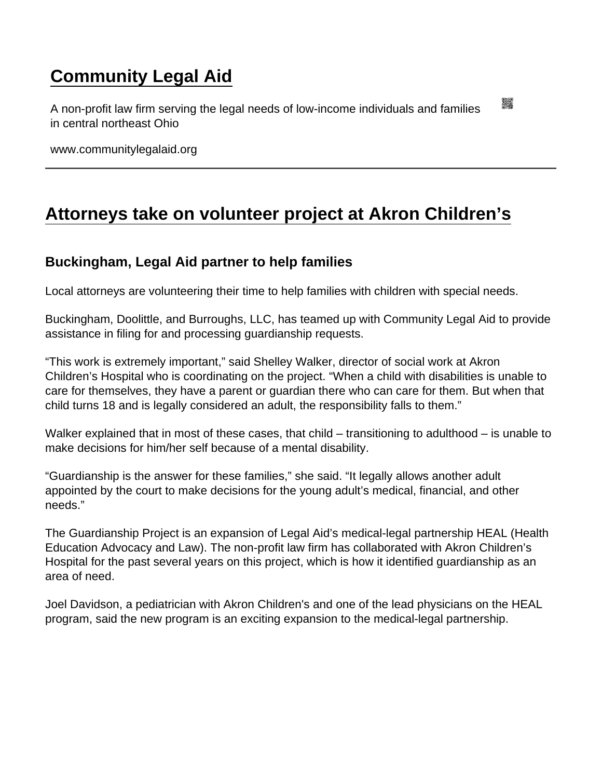## [Community Legal Aid](https://www.communitylegalaid.org/)

A non-profit law firm serving the legal needs of low-income individuals and families in central northeast Ohio

www.communitylegalaid.org

## [Attorneys take on volunteer project at Akron Children's](https://www.communitylegalaid.org/node/637/attorneys-take-volunteer-project-akron-children’s)

Buckingham, Legal Aid partner to help families

Local attorneys are volunteering their time to help families with children with special needs.

Buckingham, Doolittle, and Burroughs, LLC, has teamed up with Community Legal Aid to provide assistance in filing for and processing guardianship requests.

"This work is extremely important," said Shelley Walker, director of social work at Akron Children's Hospital who is coordinating on the project. "When a child with disabilities is unable to care for themselves, they have a parent or guardian there who can care for them. But when that child turns 18 and is legally considered an adult, the responsibility falls to them."

Walker explained that in most of these cases, that child – transitioning to adulthood – is unable to make decisions for him/her self because of a mental disability.

"Guardianship is the answer for these families," she said. "It legally allows another adult appointed by the court to make decisions for the young adult's medical, financial, and other needs."

The Guardianship Project is an expansion of Legal Aid's medical-legal partnership HEAL (Health Education Advocacy and Law). The non-profit law firm has collaborated with Akron Children's Hospital for the past several years on this project, which is how it identified guardianship as an area of need.

Joel Davidson, a pediatrician with Akron Children's and one of the lead physicians on the HEAL program, said the new program is an exciting expansion to the medical-legal partnership.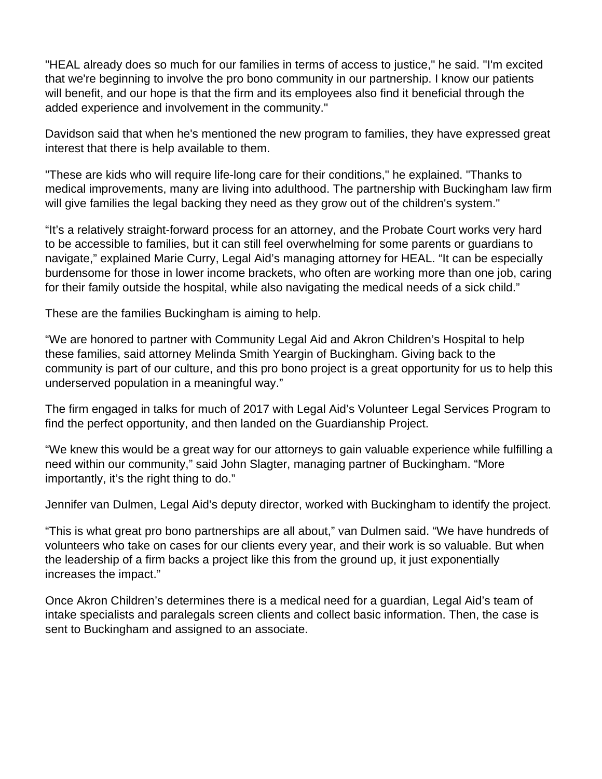"HEAL already does so much for our families in terms of access to justice," he said. "I'm excited that we're beginning to involve the pro bono community in our partnership. I know our patients will benefit, and our hope is that the firm and its employees also find it beneficial through the added experience and involvement in the community."

Davidson said that when he's mentioned the new program to families, they have expressed great interest that there is help available to them.

"These are kids who will require life-long care for their conditions," he explained. "Thanks to medical improvements, many are living into adulthood. The partnership with Buckingham law firm will give families the legal backing they need as they grow out of the children's system."

"It's a relatively straight-forward process for an attorney, and the Probate Court works very hard to be accessible to families, but it can still feel overwhelming for some parents or guardians to navigate," explained Marie Curry, Legal Aid's managing attorney for HEAL. "It can be especially burdensome for those in lower income brackets, who often are working more than one job, caring for their family outside the hospital, while also navigating the medical needs of a sick child."

These are the families Buckingham is aiming to help.

"We are honored to partner with Community Legal Aid and Akron Children's Hospital to help these families, said attorney Melinda Smith Yeargin of Buckingham. Giving back to the community is part of our culture, and this pro bono project is a great opportunity for us to help this underserved population in a meaningful way."

The firm engaged in talks for much of 2017 with Legal Aid's Volunteer Legal Services Program to find the perfect opportunity, and then landed on the Guardianship Project.

"We knew this would be a great way for our attorneys to gain valuable experience while fulfilling a need within our community," said John Slagter, managing partner of Buckingham. "More importantly, it's the right thing to do."

Jennifer van Dulmen, Legal Aid's deputy director, worked with Buckingham to identify the project.

"This is what great pro bono partnerships are all about," van Dulmen said. "We have hundreds of volunteers who take on cases for our clients every year, and their work is so valuable. But when the leadership of a firm backs a project like this from the ground up, it just exponentially increases the impact."

Once Akron Children's determines there is a medical need for a guardian, Legal Aid's team of intake specialists and paralegals screen clients and collect basic information. Then, the case is sent to Buckingham and assigned to an associate.